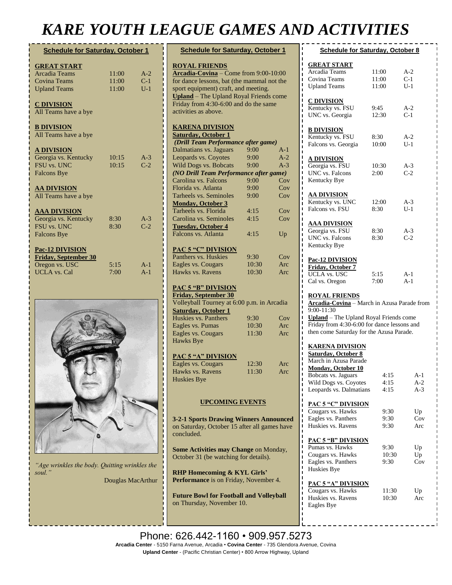## *KARE YOUTH LEAGUE GAMES AND ACTIVITIES*

| <b>Schedule for Saturday, October 1</b> |       |       |
|-----------------------------------------|-------|-------|
| <b>GREAT START</b>                      |       |       |
| Arcadia Teams                           | 11:00 | $A-2$ |
| <b>Covina Teams</b>                     | 11:00 | $C-1$ |
| <b>Upland Teams</b>                     | 11:00 | $U-1$ |
| <b>C DIVISION</b>                       |       |       |
| All Teams have a bye                    |       |       |
| <b>B DIVISION</b>                       |       |       |
| All Teams have a bye                    |       |       |
|                                         |       |       |
| <b>A DIVISION</b>                       |       |       |
| Georgia vs. Kentucky                    | 10:15 | $A-3$ |
| <b>FSU vs. UNC</b>                      | 10:15 | $C-2$ |
| <b>Falcons Bye</b>                      |       |       |
| <u>AA DIVISION</u>                      |       |       |
| All Teams have a bye                    |       |       |
| <b>AAA DIVISION</b>                     |       |       |
| Georgia vs. Kentucky                    | 8:30  | $A-3$ |
| <b>FSU vs. UNC</b>                      | 8:30  | $C-2$ |
| <b>Falcons Bye</b>                      |       |       |
|                                         |       |       |
| <b>Pac-12 DIVISION</b>                  |       |       |
| <b>Friday, September 30</b>             |       |       |
| Oregon vs. USC                          | 5:15  | $A-1$ |
| <b>UCLA</b> vs. Cal                     | 7:00  | $A-1$ |
|                                         |       |       |
|                                         |       |       |



*"Age wrinkles the body. Quitting wrinkles the soul."*  Douglas MacArthur

| <b>Schedule for Saturday, October 1</b>                                        |            |       |  |  |
|--------------------------------------------------------------------------------|------------|-------|--|--|
| <b>ROYAL FRIENDS</b>                                                           |            |       |  |  |
| Arcadia-Covina - Come from 9:00-10:00                                          |            |       |  |  |
| for dance lessons, bat (the mammal not the                                     |            |       |  |  |
| sport equipment) craft, and meeting.                                           |            |       |  |  |
| <b>Upland</b> - The Upland Royal Friends come                                  |            |       |  |  |
| Friday from 4:30-6:00 and do the same                                          |            |       |  |  |
| activities as above.                                                           |            |       |  |  |
|                                                                                |            |       |  |  |
| <b>KARENA DIVISION</b>                                                         |            |       |  |  |
| <b>Saturday, October 1</b>                                                     |            |       |  |  |
| (Drill Team Performance after game)                                            |            |       |  |  |
| Dalmatians vs. Jaguars                                                         | $9:00^{-}$ | $A-1$ |  |  |
| Leopards vs. Coyotes                                                           | 9:00       | $A-2$ |  |  |
| <b>Wild Dogs vs. Bobcats</b>                                                   | 9:00       | $A-3$ |  |  |
| (NO Drill Team Performance after game)                                         |            |       |  |  |
| Carolina vs. Falcons                                                           | 9:00       | Cov   |  |  |
| Florida vs. Atlanta                                                            | 9:00       | Cov   |  |  |
| <b>Tarheels vs. Seminoles</b>                                                  | 9:00       | Cov   |  |  |
| <b>Monday, October 3</b>                                                       |            |       |  |  |
| Tarheels vs. Florida                                                           | 4:15       | Cov   |  |  |
| Carolina vs. Seminoles                                                         | 4:15       | Cov   |  |  |
| <b>Tuesday, October 4</b>                                                      |            |       |  |  |
| Falcons vs. Atlanta                                                            | 4:15       | Up    |  |  |
|                                                                                |            |       |  |  |
|                                                                                |            |       |  |  |
| <b>PAC 5 "C" DIVISION</b><br>Panthers vs. Huskies                              | 9:30       | Cov   |  |  |
| Eagles vs. Cougars                                                             | 10:30      | Arc   |  |  |
| Hawks vs. Ravens                                                               | 10:30      | Arc   |  |  |
|                                                                                |            |       |  |  |
| <b>PAC 5 "B" DIVISION</b>                                                      |            |       |  |  |
| Friday, September 30                                                           |            |       |  |  |
| Volleyball Tourney at 6:00 p.m. in Arcadia                                     |            |       |  |  |
| <b>Saturday, October 1</b>                                                     |            |       |  |  |
| Huskies vs. Panthers                                                           | 9:30       | Cov   |  |  |
| Eagles vs. Pumas                                                               | 10:30      | Arc   |  |  |
| Eagles vs. Cougars                                                             | 11:30      | Arc   |  |  |
| <b>Hawks Bye</b>                                                               |            |       |  |  |
|                                                                                |            |       |  |  |
| PAC 5 "A" DIVISION                                                             |            |       |  |  |
| Eagles vs. Cougars                                                             | 12:30      | Arc   |  |  |
| Hawks vs. Ravens                                                               | 11:30      | Arc   |  |  |
| Huskies Bye                                                                    |            |       |  |  |
|                                                                                |            |       |  |  |
|                                                                                |            |       |  |  |
| <b>UPCOMING EVENTS</b>                                                         |            |       |  |  |
|                                                                                |            |       |  |  |
|                                                                                |            |       |  |  |
| <b>3-2-1 Sports Drawing Winners Announced</b>                                  |            |       |  |  |
| on Saturday, October 15 after all games have                                   |            |       |  |  |
| concluded.                                                                     |            |       |  |  |
|                                                                                |            |       |  |  |
| Some Activities may Change on Monday,<br>October 31 (be watching for details). |            |       |  |  |
|                                                                                |            |       |  |  |
|                                                                                |            |       |  |  |
| <b>RHP Homecoming &amp; KYL Girls'</b>                                         |            |       |  |  |
| Performance is on Friday, November 4.                                          |            |       |  |  |
|                                                                                |            |       |  |  |
| <b>Future Bowl for Football and Volleyball</b>                                 |            |       |  |  |
| on Thursday, November 10.                                                      |            |       |  |  |
|                                                                                |            |       |  |  |

| <b>Schedule for Saturday, October 8</b>                                                                                                                                                                                    |                         |                         |  |  |
|----------------------------------------------------------------------------------------------------------------------------------------------------------------------------------------------------------------------------|-------------------------|-------------------------|--|--|
| <b>GREAT START</b><br>Arcadia Teams<br>Covina Teams<br><b>Upland Teams</b>                                                                                                                                                 | 11:00<br>11:00<br>11:00 | $A-2$<br>$C-1$<br>$U-1$ |  |  |
| <b>C DIVISION</b><br>Kentucky vs. FSU<br>UNC vs. Georgia                                                                                                                                                                   | 9:45<br>12:30           | $A-2$<br>$C-1$          |  |  |
| <b>B DIVISION</b><br>Kentucky vs. FSU<br>Falcons vs. Georgia                                                                                                                                                               | 8:30<br>10:00           | A-2<br>U-1              |  |  |
| <u>A DIVISION</u><br>Georgia vs. FSU<br><b>UNC</b> vs. Falcons<br>Kentucky Bye                                                                                                                                             | 10:30<br>2:00           | $A-3$<br>$C-2$          |  |  |
| <b>AA DIVISION</b><br>Kentucky vs. UNC<br>Falcons vs. FSU                                                                                                                                                                  | 12:00<br>8:30           | $A-3$<br>$U-1$          |  |  |
| <u>AAA DIVISION</u><br>Georgia vs. FSU<br>UNC vs. Falcons<br>Kentucky Bye                                                                                                                                                  | 8:30<br>8:30            | $A-3$<br>$C-2$          |  |  |
| <b>Pac-12 DIVISION</b><br>Friday, October 7<br><b>UCLA</b> vs. USC<br>Cal vs. Oregon                                                                                                                                       | 5:15<br>7:00            | $A-1$<br>$A-1$          |  |  |
| <b>ROYAL FRIENDS</b><br>Arcadia-Covina - March in Azusa Parade from<br>$9:00 - 11:30$<br>Upland - The Upland Royal Friends come<br>Friday from 4:30-6:00 for dance lessons and<br>then come Saturday for the Azusa Parade. |                         |                         |  |  |
| <b>KARENA DIVISION</b><br><b>Saturday, October 8</b><br>March in Azusa Parade<br>Monday, October 10<br>Bobcats vs. Jaguars<br>Wild Dogs vs. Coyotes<br>Leopards vs. Dalmatians                                             | 4:15<br>4:15<br>4:15    | A-1<br>$A-2$<br>$A-3$   |  |  |
| <b>PAC 5 "C" DIVISION</b><br>Cougars vs. Hawks<br>Eagles vs. Panthers<br>Huskies vs. Ravens                                                                                                                                | 9:30<br>9:30<br>9:30    | Up<br>Cov<br>Arc        |  |  |
| <b>PAC 5 "B" DIVISION</b><br>Pumas vs. Hawks<br>Cougars vs. Hawks<br>Eagles vs. Panthers<br>Huskies Bye                                                                                                                    | 9:30<br>10:30<br>9:30   | Up<br>Up<br>Cov         |  |  |
| <b>PAC 5 "A" DIVISION</b><br>Cougars vs. Hawks<br>Huskies vs. Ravens<br>Eagles Bye                                                                                                                                         | 11:30<br>10:30          | Up<br>Arc               |  |  |

Phone: 626.442-1160 · 909.957.5273 **Arcadia Center** - 5150 Farna Avenue, Arcadia • **Covina Center** - 735 Glendora Avenue, Covina **Upland Center** - (Pacific Christian Center) • 800 Arrow Highway, Upland November 18 and Scholars Scholars 19. 2007 and Anglisher

**No Kare Activities on Veteran's Day**